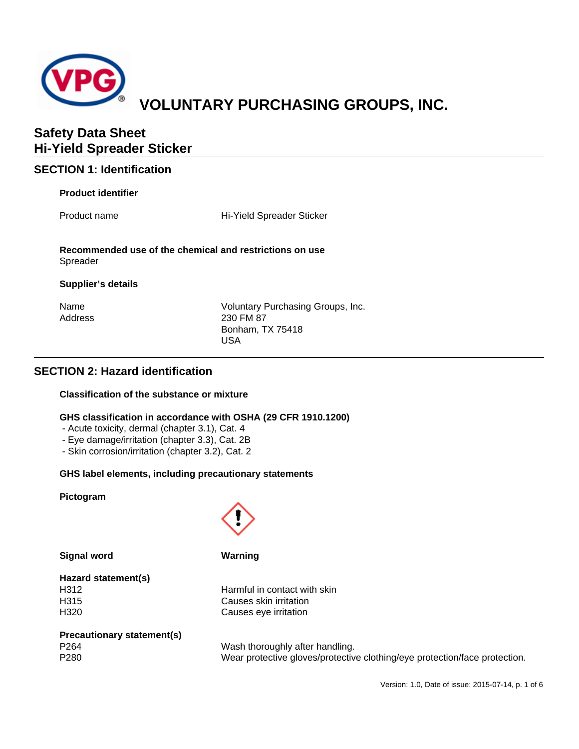

## **SECTION 1: Identification**

## **Product identifier**

Product name **Hi-Yield Spreader Sticker** 

**Recommended use of the chemical and restrictions on use** Spreader

#### **Supplier's details**

| Name    |
|---------|
| Address |

Voluntary Purchasing Groups, Inc. 230 FM 87 Bonham, TX 75418 USA

## **SECTION 2: Hazard identification**

## **Classification of the substance or mixture**

## **GHS classification in accordance with OSHA (29 CFR 1910.1200)**

- Acute toxicity, dermal (chapter 3.1), Cat. 4
- Eye damage/irritation (chapter 3.3), Cat. 2B
- Skin corrosion/irritation (chapter 3.2), Cat. 2

## **GHS label elements, including precautionary statements**

#### **Pictogram**



**Signal word Warning**

# **Hazard statement(s)**

H312 Harmful in contact with skin H315 Causes skin irritation H320 Causes eye irritation

## **Precautionary statement(s)**

P264 Wash thoroughly after handling. P280 Wear protective gloves/protective clothing/eye protection/face protection.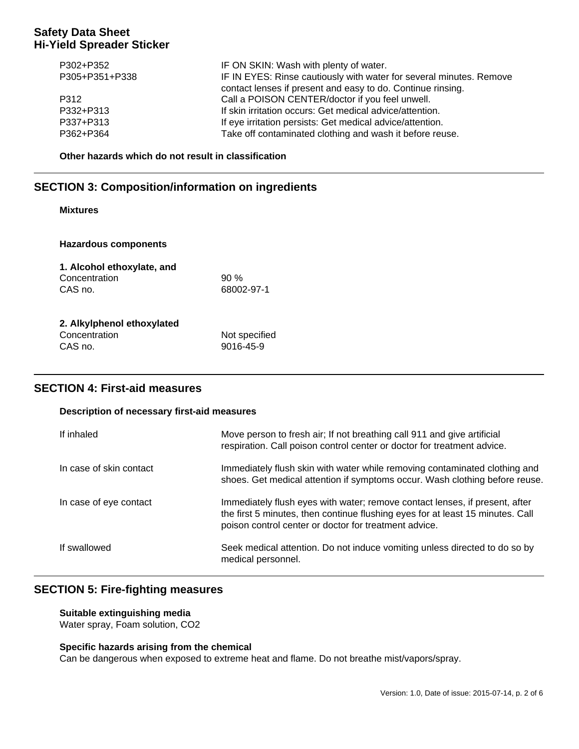| P302+P352<br>P305+P351+P338 | IF ON SKIN: Wash with plenty of water.<br>IF IN EYES: Rinse cautiously with water for several minutes. Remove<br>contact lenses if present and easy to do. Continue rinsing. |
|-----------------------------|------------------------------------------------------------------------------------------------------------------------------------------------------------------------------|
| P312                        | Call a POISON CENTER/doctor if you feel unwell.                                                                                                                              |
| P332+P313                   | If skin irritation occurs: Get medical advice/attention.                                                                                                                     |
| P337+P313                   | If eye irritation persists: Get medical advice/attention.                                                                                                                    |
| P362+P364                   | Take off contaminated clothing and wash it before reuse.                                                                                                                     |

**Other hazards which do not result in classification**

## **SECTION 3: Composition/information on ingredients**

## **Mixtures**

| <b>Hazardous components</b> |               |  |
|-----------------------------|---------------|--|
| 1. Alcohol ethoxylate, and  |               |  |
| Concentration               | $90\%$        |  |
| CAS no.                     | 68002-97-1    |  |
| 2. Alkylphenol ethoxylated  |               |  |
| Concentration               | Not specified |  |
| CAS no.                     | 9016-45-9     |  |

## **SECTION 4: First-aid measures**

#### **Description of necessary first-aid measures**

| If inhaled              | Move person to fresh air; If not breathing call 911 and give artificial<br>respiration. Call poison control center or doctor for treatment advice.                                                                     |
|-------------------------|------------------------------------------------------------------------------------------------------------------------------------------------------------------------------------------------------------------------|
| In case of skin contact | Immediately flush skin with water while removing contaminated clothing and<br>shoes. Get medical attention if symptoms occur. Wash clothing before reuse.                                                              |
| In case of eye contact  | Immediately flush eyes with water; remove contact lenses, if present, after<br>the first 5 minutes, then continue flushing eyes for at least 15 minutes. Call<br>poison control center or doctor for treatment advice. |
| If swallowed            | Seek medical attention. Do not induce vomiting unless directed to do so by<br>medical personnel.                                                                                                                       |

## **SECTION 5: Fire-fighting measures**

**Suitable extinguishing media** Water spray, Foam solution, CO2

## **Specific hazards arising from the chemical**

Can be dangerous when exposed to extreme heat and flame. Do not breathe mist/vapors/spray.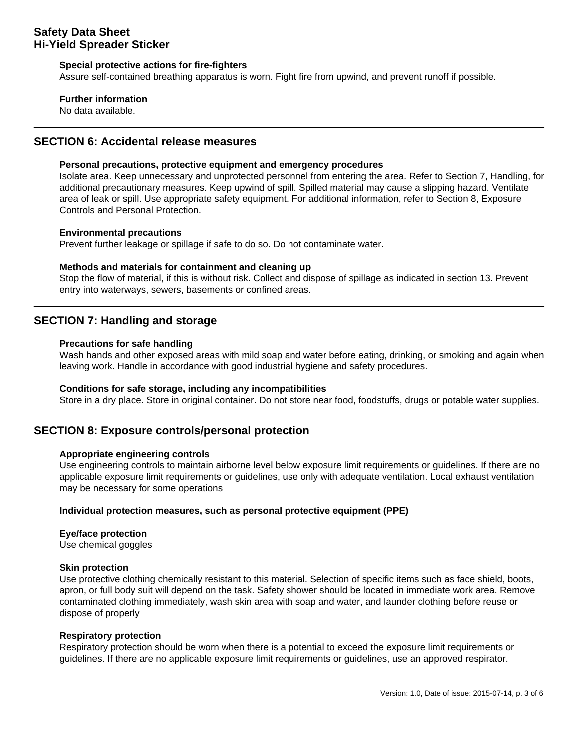#### **Special protective actions for fire-fighters**

Assure self-contained breathing apparatus is worn. Fight fire from upwind, and prevent runoff if possible.

#### **Further information**

No data available.

## **SECTION 6: Accidental release measures**

#### **Personal precautions, protective equipment and emergency procedures**

Isolate area. Keep unnecessary and unprotected personnel from entering the area. Refer to Section 7, Handling, for additional precautionary measures. Keep upwind of spill. Spilled material may cause a slipping hazard. Ventilate area of leak or spill. Use appropriate safety equipment. For additional information, refer to Section 8, Exposure Controls and Personal Protection.

#### **Environmental precautions**

Prevent further leakage or spillage if safe to do so. Do not contaminate water.

#### **Methods and materials for containment and cleaning up**

Stop the flow of material, if this is without risk. Collect and dispose of spillage as indicated in section 13. Prevent entry into waterways, sewers, basements or confined areas.

## **SECTION 7: Handling and storage**

#### **Precautions for safe handling**

Wash hands and other exposed areas with mild soap and water before eating, drinking, or smoking and again when leaving work. Handle in accordance with good industrial hygiene and safety procedures.

#### **Conditions for safe storage, including any incompatibilities**

Store in a dry place. Store in original container. Do not store near food, foodstuffs, drugs or potable water supplies.

## **SECTION 8: Exposure controls/personal protection**

#### **Appropriate engineering controls**

Use engineering controls to maintain airborne level below exposure limit requirements or guidelines. If there are no applicable exposure limit requirements or guidelines, use only with adequate ventilation. Local exhaust ventilation may be necessary for some operations

#### **Individual protection measures, such as personal protective equipment (PPE)**

#### **Eye/face protection**

Use chemical goggles

#### **Skin protection**

Use protective clothing chemically resistant to this material. Selection of specific items such as face shield, boots, apron, or full body suit will depend on the task. Safety shower should be located in immediate work area. Remove contaminated clothing immediately, wash skin area with soap and water, and launder clothing before reuse or dispose of properly

#### **Respiratory protection**

Respiratory protection should be worn when there is a potential to exceed the exposure limit requirements or guidelines. If there are no applicable exposure limit requirements or guidelines, use an approved respirator.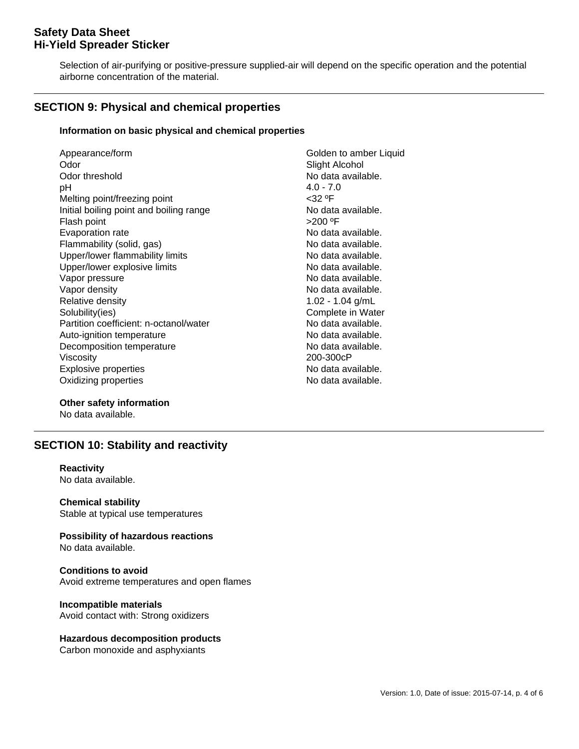Selection of air-purifying or positive-pressure supplied-air will depend on the specific operation and the potential airborne concentration of the material.

## **SECTION 9: Physical and chemical properties**

#### **Information on basic physical and chemical properties**

| Appearance/form<br>Odor                 | Golden to amber Liquid |
|-----------------------------------------|------------------------|
|                                         | Slight Alcohol         |
| Odor threshold                          | No data available.     |
| рH                                      | $4.0 - 7.0$            |
| Melting point/freezing point            | $<$ 32 °F              |
| Initial boiling point and boiling range | No data available.     |
| Flash point                             | >200 °F                |
| Evaporation rate                        | No data available.     |
| Flammability (solid, gas)               | No data available.     |
| Upper/lower flammability limits         | No data available.     |
| Upper/lower explosive limits            | No data available.     |
| Vapor pressure                          | No data available.     |
| Vapor density                           | No data available.     |
| Relative density                        | $1.02 - 1.04$ g/mL     |
| Solubility(ies)                         | Complete in Water      |
| Partition coefficient: n-octanol/water  | No data available.     |
| Auto-ignition temperature               | No data available.     |
| Decomposition temperature               | No data available.     |
| Viscosity                               | 200-300cP              |
| <b>Explosive properties</b>             | No data available.     |
| Oxidizing properties                    | No data available.     |
|                                         |                        |

**Other safety information**

No data available.

## **SECTION 10: Stability and reactivity**

## **Reactivity**

No data available.

**Chemical stability** Stable at typical use temperatures

**Possibility of hazardous reactions** No data available.

**Conditions to avoid** Avoid extreme temperatures and open flames

**Incompatible materials** Avoid contact with: Strong oxidizers

#### **Hazardous decomposition products**

Carbon monoxide and asphyxiants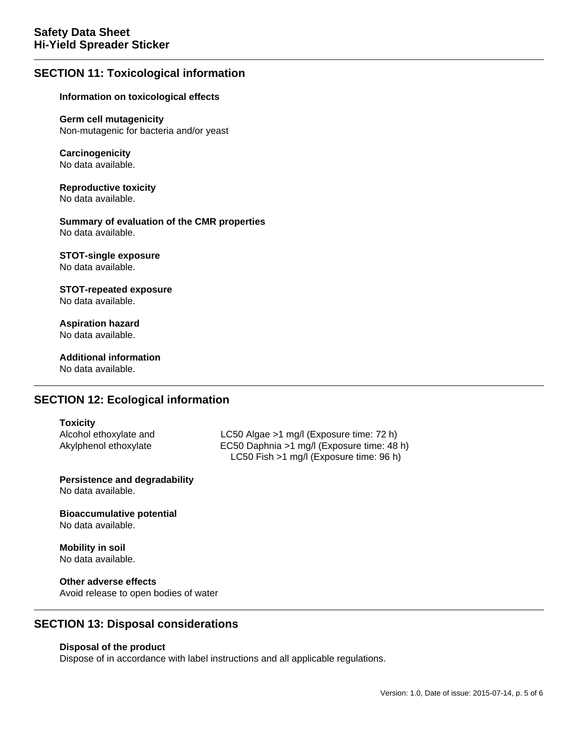## **SECTION 11: Toxicological information**

#### **Information on toxicological effects**

**Germ cell mutagenicity** Non-mutagenic for bacteria and/or yeast

#### **Carcinogenicity** No data available.

**Reproductive toxicity** No data available.

**Summary of evaluation of the CMR properties** No data available.

#### **STOT-single exposure** No data available.

#### **STOT-repeated exposure** No data available.

**Aspiration hazard** No data available.

**Additional information** No data available.

## **SECTION 12: Ecological information**

#### **Toxicity**

Alcohol ethoxylate and LC50 Algae >1 mg/l (Exposure time: 72 h) Akylphenol ethoxylate EC50 Daphnia >1 mg/l (Exposure time: 48 h) LC50 Fish >1 mg/l (Exposure time: 96 h)

**Persistence and degradability** No data available.

**Bioaccumulative potential** No data available.

**Mobility in soil** No data available.

**Other adverse effects** Avoid release to open bodies of water

## **SECTION 13: Disposal considerations**

#### **Disposal of the product**

Dispose of in accordance with label instructions and all applicable regulations.